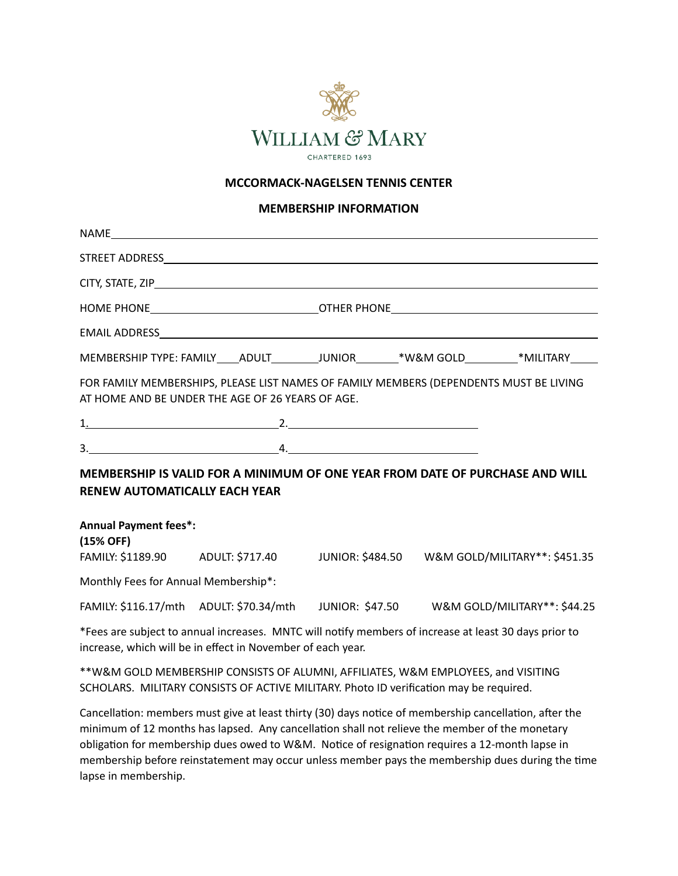

#### **MCCORMACK-NAGELSEN TENNIS CENTER**

#### **MEMBERSHIP INFORMATION**

|                                                  |  | HOME PHONE________________________________OTHER PHONE____________________________ |                                                                                                       |  |
|--------------------------------------------------|--|-----------------------------------------------------------------------------------|-------------------------------------------------------------------------------------------------------|--|
|                                                  |  |                                                                                   |                                                                                                       |  |
|                                                  |  |                                                                                   | MEMBERSHIP TYPE: FAMILY ____ ADULT _________JUNIOR ________* W&M GOLD _________* MILITARY _____       |  |
| AT HOME AND BE UNDER THE AGE OF 26 YEARS OF AGE. |  |                                                                                   | FOR FAMILY MEMBERSHIPS, PLEASE LIST NAMES OF FAMILY MEMBERS (DEPENDENTS MUST BE LIVING                |  |
|                                                  |  |                                                                                   |                                                                                                       |  |
| $3.$ $4.$                                        |  |                                                                                   |                                                                                                       |  |
| <b>RENEW AUTOMATICALLY EACH YEAR</b>             |  |                                                                                   | MEMBERSHIP IS VALID FOR A MINIMUM OF ONE YEAR FROM DATE OF PURCHASE AND WILL                          |  |
| <b>Annual Payment fees*:</b><br>(15% OFF)        |  |                                                                                   |                                                                                                       |  |
|                                                  |  |                                                                                   | FAMILY: \$1189.90 ADULT: \$717.40 JUNIOR: \$484.50 W&M GOLD/MILITARY**: \$451.35                      |  |
| Monthly Fees for Annual Membership*:             |  |                                                                                   |                                                                                                       |  |
|                                                  |  |                                                                                   | FAMILY: \$116.17/mth ADULT: \$70.34/mth JUNIOR: \$47.50 W&M GOLD/MILITARY**: \$44.25                  |  |
|                                                  |  |                                                                                   | *Eees are subject to annual increases. MNTC will notify members of increase at least 30 days prior to |  |

Fees are subject to annual increases. MNTC will notify members of increase at least 30 days prior to increase, which will be in effect in November of each year.

\*\*W&M GOLD MEMBERSHIP CONSISTS OF ALUMNI, AFFILIATES, W&M EMPLOYEES, and VISITING SCHOLARS. MILITARY CONSISTS OF ACTIVE MILITARY. Photo ID verification may be required.

Cancellation: members must give at least thirty (30) days notice of membership cancellation, after the minimum of 12 months has lapsed. Any cancellation shall not relieve the member of the monetary obligation for membership dues owed to W&M. Notice of resignation requires a 12-month lapse in membership before reinstatement may occur unless member pays the membership dues during the time lapse in membership.